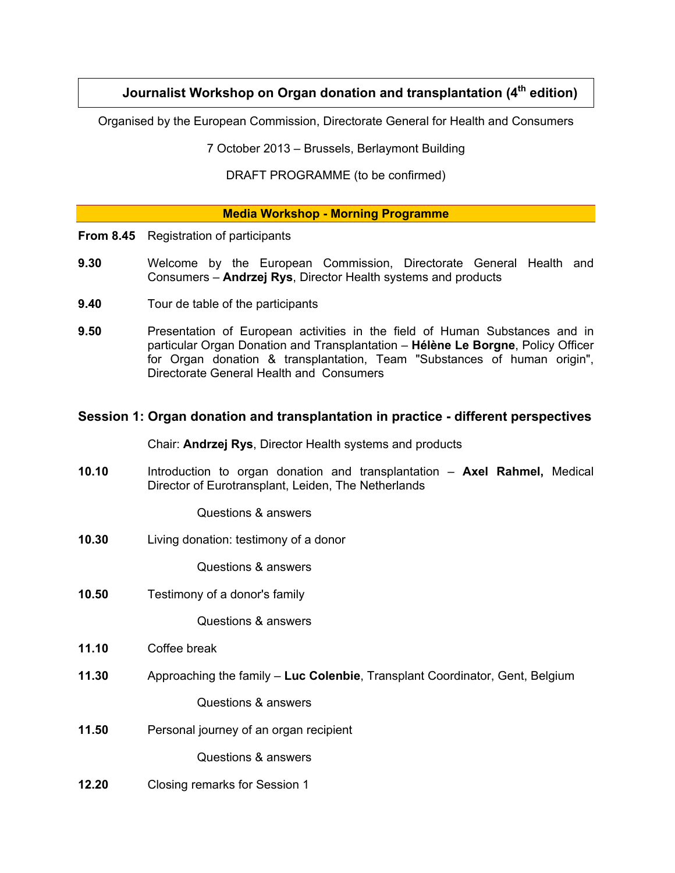# **Journalist Workshop on Organ donation and transplantation (4<sup>th</sup> edition)**

Organised by the European Commission, Directorate General for Health and Consumers

7 October 2013 – Brussels, Berlaymont Building

DRAFT PROGRAMME (to be confirmed)

# **Media Workshop - Morning Programme**

- **From 8.45** Registration of participants
- **9.30** Welcome by the European Commission, Directorate General Health and Consumers – **Andrzej Rys**, Director Health systems and products
- **9.40** Tour de table of the participants
- **9.50** Presentation of European activities in the field of Human Substances and in particular Organ Donation and Transplantation – **Hélène Le Borgne**, Policy Officer for Organ donation & transplantation, Team "Substances of human origin", Directorate General Health and Consumers

# **Session 1: Organ donation and transplantation in practice - different perspectives**

Chair: **Andrzej Rys**, Director Health systems and products

**10.10** Introduction to organ donation and transplantation – **Axel Rahmel,** Medical Director of Eurotransplant, Leiden, The Netherlands

Questions & answers

**10.30** Living donation: testimony of a donor

Questions & answers

**10.50** Testimony of a donor's family

Questions & answers

- **11.10** Coffee break
- **11.30** Approaching the family – **Luc Colenbie**, Transplant Coordinator, Gent, Belgium

Questions & answers

**11.50** Personal journey of an organ recipient

Questions & answers

**12.20** Closing remarks for Session 1